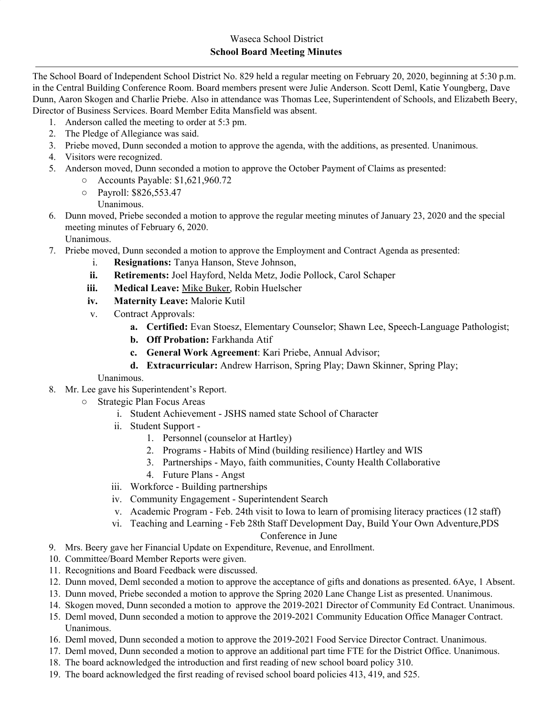The School Board of Independent School District No. 829 held a regular meeting on February 20, 2020, beginning at 5:30 p.m. in the Central Building Conference Room. Board members present were Julie Anderson. Scott Deml, Katie Youngberg, Dave Dunn, Aaron Skogen and Charlie Priebe. Also in attendance was Thomas Lee, Superintendent of Schools, and Elizabeth Beery, Director of Business Services. Board Member Edita Mansfield was absent.

- 1. Anderson called the meeting to order at 5:3 pm.
- 2. The Pledge of Allegiance was said.
- 3. Priebe moved, Dunn seconded a motion to approve the agenda, with the additions, as presented. Unanimous.
- 4. Visitors were recognized.
- 5. Anderson moved, Dunn seconded a motion to approve the October Payment of Claims as presented:
	- Accounts Payable: \$1,621,960.72
	- Payroll: \$826,553.47
	- Unanimous.
- 6. Dunn moved, Priebe seconded a motion to approve the regular meeting minutes of January 23, 2020 and the special meeting minutes of February 6, 2020.
	- Unanimous.
- 7. Priebe moved, Dunn seconded a motion to approve the Employment and Contract Agenda as presented:
	- i. **Resignations:** Tanya Hanson, Steve Johnson,
	- **ii. Retirements:** Joel Hayford, Nelda Metz, Jodie Pollock, Carol Schaper
	- **iii. Medical Leave:** Mike Buker, Robin Huelscher
	- **iv. Maternity Leave:** Malorie Kutil
	- v. Contract Approvals:
		- **a. Certified:** Evan Stoesz, Elementary Counselor; Shawn Lee, Speech-Language Pathologist;
		- **b. Off Probation:** Farkhanda Atif
		- **c. General Work Agreement**: Kari Priebe, Annual Advisor;
		- **d. Extracurricular:** Andrew Harrison, Spring Play; Dawn Skinner, Spring Play;

Unanimous.

- 8. Mr. Lee gave his Superintendent's Report.
	- Strategic Plan Focus Areas
		- i. Student Achievement JSHS named state School of Character
		- ii. Student Support
			- 1. Personnel (counselor at Hartley)
			- 2. Programs Habits of Mind (building resilience) Hartley and WIS
			- 3. Partnerships Mayo, faith communities, County Health Collaborative
			- 4. Future Plans Angst
		- iii. Workforce Building partnerships
		- iv. Community Engagement Superintendent Search
		- v. Academic Program Feb. 24th visit to Iowa to learn of promising literacy practices (12 staff)
		- vi. Teaching and Learning Feb 28th Staff Development Day, Build Your Own Adventure,PDS

## Conference in June

- 9. Mrs. Beery gave her Financial Update on Expenditure, Revenue, and Enrollment.
- 10. Committee/Board Member Reports were given.
- 11. Recognitions and Board Feedback were discussed.
- 12. Dunn moved, Deml seconded a motion to approve the acceptance of gifts and donations as presented. 6Aye, 1 Absent.
- 13. Dunn moved, Priebe seconded a motion to approve the Spring 2020 Lane Change List as presented. Unanimous.
- 14. Skogen moved, Dunn seconded a motion to approve the 2019-2021 Director of Community Ed Contract. Unanimous.
- 15. Deml moved, Dunn seconded a motion to approve the 2019-2021 Community Education Office Manager Contract. Unanimous.
- 16. Deml moved, Dunn seconded a motion to approve the 2019-2021 Food Service Director Contract. Unanimous.
- 17. Deml moved, Dunn seconded a motion to approve an additional part time FTE for the District Office. Unanimous.
- 18. The board acknowledged the introduction and first reading of new school board policy 310.
- 19. The board acknowledged the first reading of revised school board policies 413, 419, and 525.